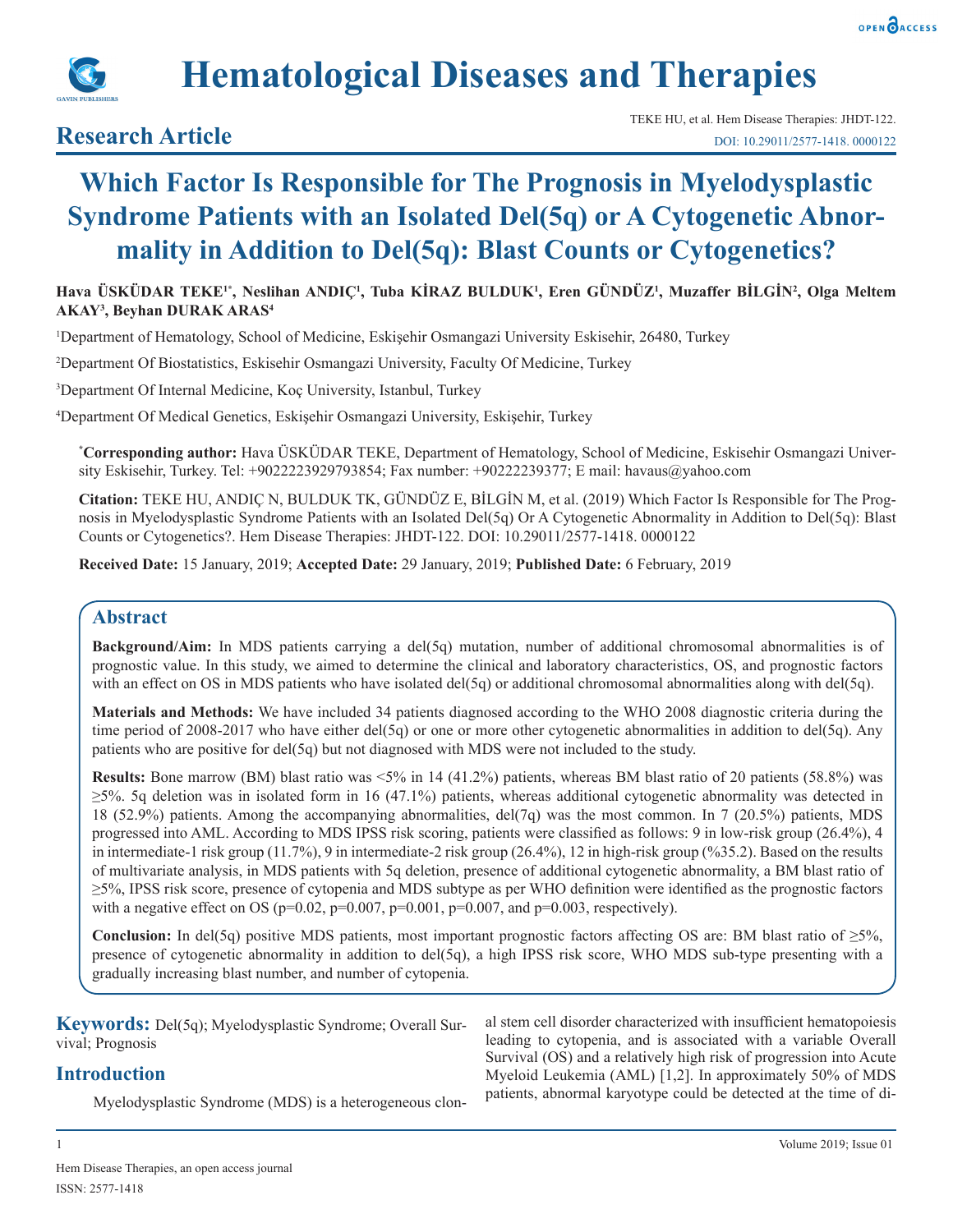



# **Hematological Diseases and Therapies**

## **Research Article**

## **Which Factor Is Responsible for The Prognosis in Myelodysplastic Syndrome Patients with an Isolated Del(5q) or A Cytogenetic Abnormality in Addition to Del(5q): Blast Counts or Cytogenetics?**

#### **Hava ÜSKÜDAR TEKE1\*, Neslihan ANDIÇ1 , Tuba KİRAZ BULDUK<sup>1</sup> , Eren GÜNDÜZ<sup>1</sup> , Muzaffer BİLGİN<sup>2</sup> , Olga Meltem AKAY3 , Beyhan DURAK ARAS<sup>4</sup>**

1 Department of Hematology, School of Medicine, Eskişehir Osmangazi University Eskisehir, 26480, Turkey

2 Department Of Biostatistics, Eskisehir Osmangazi University, Faculty Of Medicine, Turkey

3 Department Of Internal Medicine, Koç University, Istanbul, Turkey

4 Department Of Medical Genetics, Eskişehir Osmangazi University, Eskişehir, Turkey

**\* Corresponding author:** Hava ÜSKÜDAR TEKE, Department of Hematology, School of Medicine, Eskisehir Osmangazi University Eskisehir, Turkey. Tel: +9022223929793854; Fax number: +90222239377; E mail: havaus@yahoo.com

**Citation:** TEKE HU, ANDIÇ N, BULDUK TK, GÜNDÜZ E, BİLGİN M, et al. (2019) Which Factor Is Responsible for The Prognosis in Myelodysplastic Syndrome Patients with an Isolated Del(5q) Or A Cytogenetic Abnormality in Addition to Del(5q): Blast Counts or Cytogenetics?. Hem Disease Therapies: JHDT-122. DOI: 10.29011/2577-1418. 0000122

**Received Date:** 15 January, 2019; **Accepted Date:** 29 January, 2019; **Published Date:** 6 February, 2019

## **Abstract**

**Background/Aim:** In MDS patients carrying a del(5q) mutation, number of additional chromosomal abnormalities is of prognostic value. In this study, we aimed to determine the clinical and laboratory characteristics, OS, and prognostic factors with an effect on OS in MDS patients who have isolated del(5q) or additional chromosomal abnormalities along with del(5q).

**Materials and Methods:** We have included 34 patients diagnosed according to the WHO 2008 diagnostic criteria during the time period of 2008-2017 who have either del(5q) or one or more other cytogenetic abnormalities in addition to del(5q). Any patients who are positive for del(5q) but not diagnosed with MDS were not included to the study.

**Results:** Bone marrow (BM) blast ratio was <5% in 14 (41.2%) patients, whereas BM blast ratio of 20 patients (58.8%) was  $\geq$ 5%. 5q deletion was in isolated form in 16 (47.1%) patients, whereas additional cytogenetic abnormality was detected in 18 (52.9%) patients. Among the accompanying abnormalities, del(7q) was the most common. In 7 (20.5%) patients, MDS progressed into AML. According to MDS IPSS risk scoring, patients were classified as follows: 9 in low-risk group (26.4%), 4 in intermediate-1 risk group (11.7%), 9 in intermediate-2 risk group (26.4%), 12 in high-risk group (%35.2). Based on the results of multivariate analysis, in MDS patients with 5q deletion, presence of additional cytogenetic abnormality, a BM blast ratio of ≥5%, IPSS risk score, presence of cytopenia and MDS subtype as per WHO definition were identified as the prognostic factors with a negative effect on OS ( $p=0.02$ ,  $p=0.007$ ,  $p=0.001$ ,  $p=0.007$ , and  $p=0.003$ , respectively).

**Conclusion:** In del(5q) positive MDS patients, most important prognostic factors affecting OS are: BM blast ratio of ≥5%, presence of cytogenetic abnormality in addition to del(5q), a high IPSS risk score, WHO MDS sub-type presenting with a gradually increasing blast number, and number of cytopenia.

**Keywords:** Del(5q); Myelodysplastic Syndrome; Overall Survival; Prognosis

al stem cell disorder characterized with insufficient hematopoiesis leading to cytopenia, and is associated with a variable Overall Survival (OS) and a relatively high risk of progression into Acute Myeloid Leukemia (AML) [1,2]. In approximately 50% of MDS patients, abnormal karyotype could be detected at the time of di-

## **Introduction**

Myelodysplastic Syndrome (MDS) is a heterogeneous clon-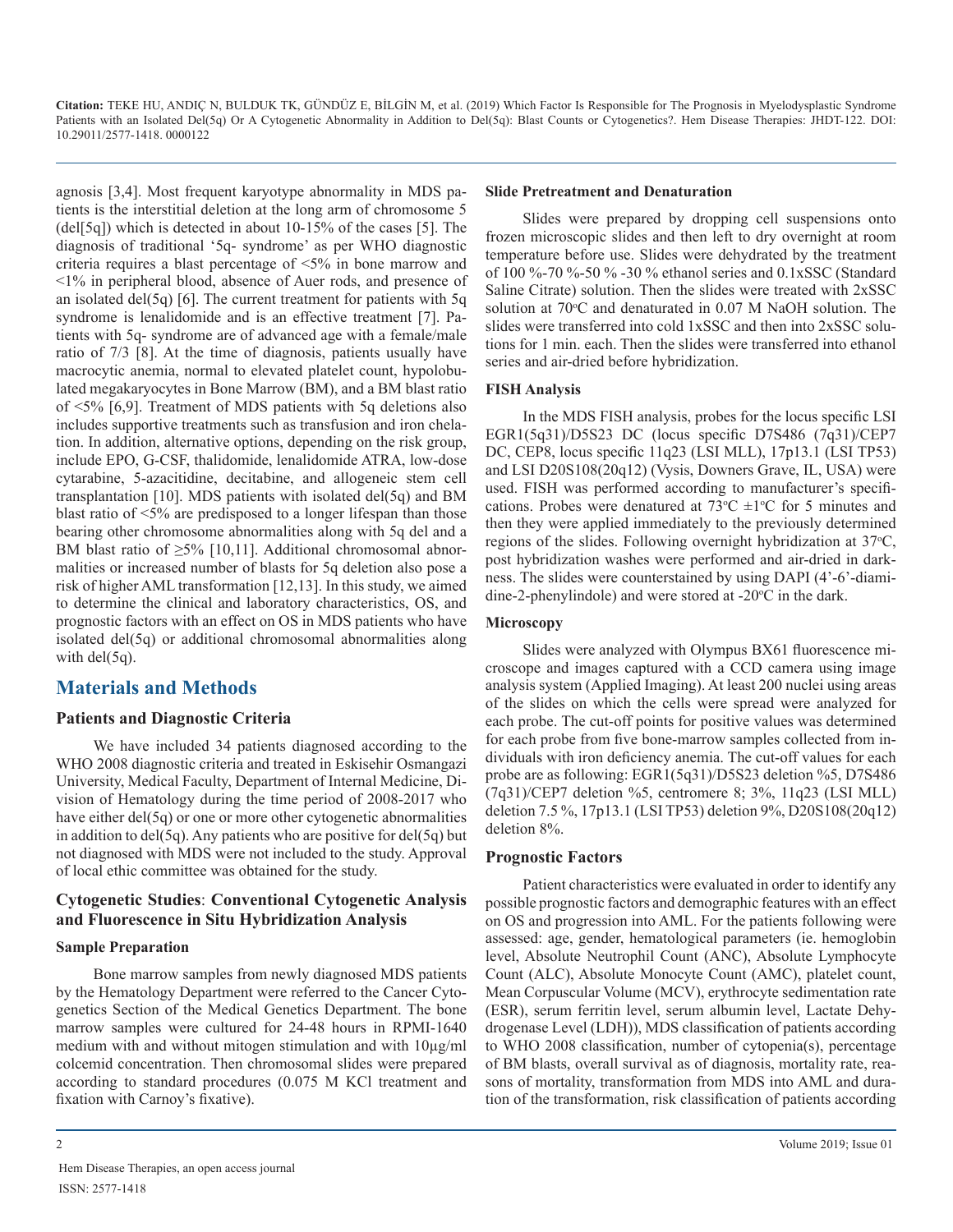agnosis [3,4]. Most frequent karyotype abnormality in MDS patients is the interstitial deletion at the long arm of chromosome 5 (del[5q]) which is detected in about 10-15% of the cases [5]. The diagnosis of traditional '5q- syndrome' as per WHO diagnostic criteria requires a blast percentage of <5% in bone marrow and <1% in peripheral blood, absence of Auer rods, and presence of an isolated del(5q) [6]. The current treatment for patients with 5q syndrome is lenalidomide and is an effective treatment [7]. Patients with 5q- syndrome are of advanced age with a female/male ratio of 7/3 [8]. At the time of diagnosis, patients usually have macrocytic anemia, normal to elevated platelet count, hypolobulated megakaryocytes in Bone Marrow (BM), and a BM blast ratio of <5% [6,9]. Treatment of MDS patients with 5q deletions also includes supportive treatments such as transfusion and iron chelation. In addition, alternative options, depending on the risk group, include EPO, G-CSF, thalidomide, lenalidomide ATRA, low-dose cytarabine, 5-azacitidine, decitabine, and allogeneic stem cell transplantation [10]. MDS patients with isolated del(5q) and BM blast ratio of <5% are predisposed to a longer lifespan than those bearing other chromosome abnormalities along with 5q del and a BM blast ratio of  $\geq$ 5% [10,11]. Additional chromosomal abnormalities or increased number of blasts for 5q deletion also pose a risk of higher AML transformation [12,13]. In this study, we aimed to determine the clinical and laboratory characteristics, OS, and prognostic factors with an effect on OS in MDS patients who have isolated del(5q) or additional chromosomal abnormalities along with  $del(5q)$ .

## **Materials and Methods**

#### **Patients and Diagnostic Criteria**

We have included 34 patients diagnosed according to the WHO 2008 diagnostic criteria and treated in Eskisehir Osmangazi University, Medical Faculty, Department of Internal Medicine, Division of Hematology during the time period of 2008-2017 who have either del(5q) or one or more other cytogenetic abnormalities in addition to del(5q). Any patients who are positive for del(5q) but not diagnosed with MDS were not included to the study. Approval of local ethic committee was obtained for the study.

#### **Cytogenetic Studies**: **Conventional Cytogenetic Analysis and Fluorescence in Situ Hybridization Analysis**

#### **Sample Preparation**

Bone marrow samples from newly diagnosed MDS patients by the Hematology Department were referred to the Cancer Cytogenetics Section of the Medical Genetics Department. The bone marrow samples were cultured for 24-48 hours in RPMI-1640 medium with and without mitogen stimulation and with 10µg/ml colcemid concentration. Then chromosomal slides were prepared according to standard procedures (0.075 M KCl treatment and fixation with Carnoy's fixative).

#### **Slide Pretreatment and Denaturation**

Slides were prepared by dropping cell suspensions onto frozen microscopic slides and then left to dry overnight at room temperature before use. Slides were dehydrated by the treatment of 100 %-70 %-50 % -30 % ethanol series and 0.1xSSC (Standard Saline Citrate) solution. Then the slides were treated with 2xSSC solution at 70°C and denaturated in 0.07 M NaOH solution. The slides were transferred into cold 1xSSC and then into 2xSSC solutions for 1 min. each. Then the slides were transferred into ethanol series and air-dried before hybridization.

#### **FISH Analysis**

In the MDS FISH analysis, probes for the locus specific LSI EGR1(5q31)/D5S23 DC (locus specific D7S486 (7q31)/CEP7 DC, CEP8, locus specific 11q23 (LSI MLL), 17p13.1 (LSI TP53) and LSI D20S108(20q12) (Vysis, Downers Grave, IL, USA) were used. FISH was performed according to manufacturer's specifications. Probes were denatured at  $73^{\circ}$ C  $\pm 1^{\circ}$ C for 5 minutes and then they were applied immediately to the previously determined regions of the slides. Following overnight hybridization at 37°C, post hybridization washes were performed and air-dried in darkness. The slides were counterstained by using DAPI (4'-6'-diamidine-2-phenylindole) and were stored at  $-20^{\circ}$ C in the dark.

#### **Microscopy**

Slides were analyzed with Olympus BX61 fluorescence microscope and images captured with a CCD camera using image analysis system (Applied Imaging). At least 200 nuclei using areas of the slides on which the cells were spread were analyzed for each probe. The cut-off points for positive values was determined for each probe from five bone-marrow samples collected from individuals with iron deficiency anemia. The cut-off values for each probe are as following: EGR1(5q31)/D5S23 deletion %5, D7S486 (7q31)/CEP7 deletion %5, centromere 8; 3%, 11q23 (LSI MLL) deletion 7.5 %, 17p13.1 (LSI TP53) deletion 9%, D20S108(20q12) deletion 8%.

#### **Prognostic Factors**

Patient characteristics were evaluated in order to identify any possible prognostic factors and demographic features with an effect on OS and progression into AML. For the patients following were assessed: age, gender, hematological parameters (ie. hemoglobin level, Absolute Neutrophil Count (ANC), Absolute Lymphocyte Count (ALC), Absolute Monocyte Count (AMC), platelet count, Mean Corpuscular Volume (MCV), erythrocyte sedimentation rate (ESR), serum ferritin level, serum albumin level, Lactate Dehydrogenase Level (LDH)), MDS classification of patients according to WHO 2008 classification, number of cytopenia(s), percentage of BM blasts, overall survival as of diagnosis, mortality rate, reasons of mortality, transformation from MDS into AML and duration of the transformation, risk classification of patients according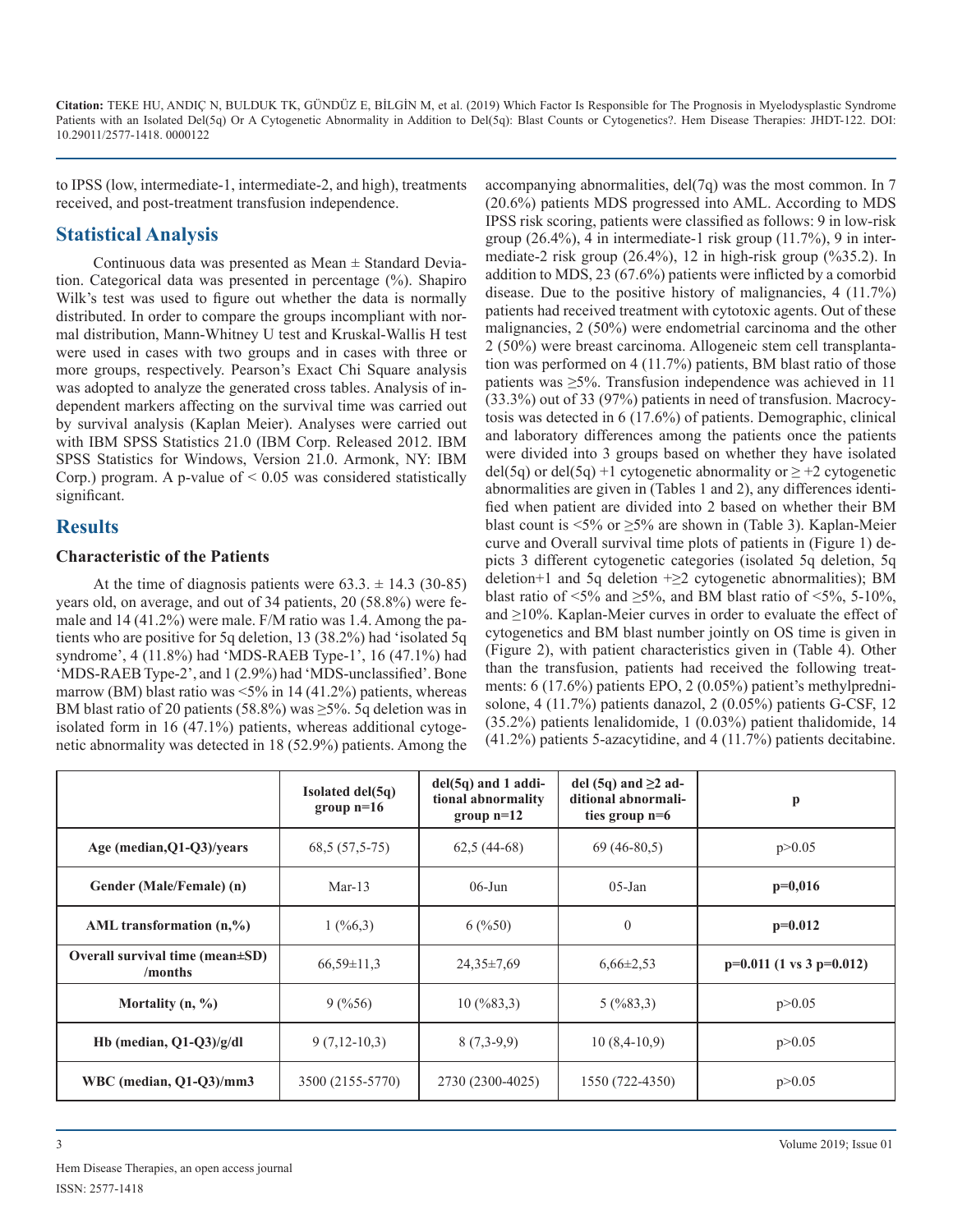to IPSS (low, intermediate-1, intermediate-2, and high), treatments received, and post-treatment transfusion independence.

## **Statistical Analysis**

Continuous data was presented as Mean  $\pm$  Standard Deviation. Categorical data was presented in percentage (%). Shapiro Wilk's test was used to figure out whether the data is normally distributed. In order to compare the groups incompliant with normal distribution, Mann-Whitney U test and Kruskal-Wallis H test were used in cases with two groups and in cases with three or more groups, respectively. Pearson's Exact Chi Square analysis was adopted to analyze the generated cross tables. Analysis of independent markers affecting on the survival time was carried out by survival analysis (Kaplan Meier). Analyses were carried out with IBM SPSS Statistics 21.0 (IBM Corp. Released 2012. IBM SPSS Statistics for Windows, Version 21.0. Armonk, NY: IBM Corp.) program. A p-value of  $\leq 0.05$  was considered statistically significant.

## **Results**

#### **Characteristic of the Patients**

At the time of diagnosis patients were  $63.3 \pm 14.3$  (30-85) years old, on average, and out of 34 patients, 20 (58.8%) were female and 14 (41.2%) were male. F/M ratio was 1.4. Among the patients who are positive for 5q deletion, 13 (38.2%) had 'isolated 5q syndrome', 4 (11.8%) had 'MDS-RAEB Type-1', 16 (47.1%) had 'MDS-RAEB Type-2', and 1 (2.9%) had 'MDS-unclassified'. Bone marrow (BM) blast ratio was <5% in 14 (41.2%) patients, whereas BM blast ratio of 20 patients (58.8%) was  $\geq$ 5%. 5q deletion was in isolated form in 16 (47.1%) patients, whereas additional cytogenetic abnormality was detected in 18 (52.9%) patients. Among the

accompanying abnormalities, del(7q) was the most common. In 7 (20.6%) patients MDS progressed into AML. According to MDS IPSS risk scoring, patients were classified as follows: 9 in low-risk group (26.4%), 4 in intermediate-1 risk group (11.7%), 9 in intermediate-2 risk group (26.4%), 12 in high-risk group (%35.2). In addition to MDS, 23 (67.6%) patients were inflicted by a comorbid disease. Due to the positive history of malignancies, 4 (11.7%) patients had received treatment with cytotoxic agents. Out of these malignancies, 2 (50%) were endometrial carcinoma and the other 2 (50%) were breast carcinoma. Allogeneic stem cell transplantation was performed on 4 (11.7%) patients, BM blast ratio of those patients was ≥5%. Transfusion independence was achieved in 11 (33.3%) out of 33 (97%) patients in need of transfusion. Macrocytosis was detected in 6 (17.6%) of patients. Demographic, clinical and laboratory differences among the patients once the patients were divided into 3 groups based on whether they have isolated del(5q) or del(5q) +1 cytogenetic abnormality or  $\geq$  +2 cytogenetic abnormalities are given in (Tables 1 and 2), any differences identified when patient are divided into 2 based on whether their BM blast count is  $\leq 5\%$  or  $\geq 5\%$  are shown in (Table 3). Kaplan-Meier curve and Overall survival time plots of patients in (Figure 1) depicts 3 different cytogenetic categories (isolated 5q deletion, 5q deletion+1 and 5q deletion  $+\geq 2$  cytogenetic abnormalities); BM blast ratio of  $\leq 5\%$  and  $\geq 5\%$ , and BM blast ratio of  $\leq 5\%$ , 5-10%, and ≥10%. Kaplan-Meier curves in order to evaluate the effect of cytogenetics and BM blast number jointly on OS time is given in (Figure 2), with patient characteristics given in (Table 4). Other than the transfusion, patients had received the following treatments: 6 (17.6%) patients EPO, 2 (0.05%) patient's methylprednisolone, 4 (11.7%) patients danazol, 2 (0.05%) patients G-CSF, 12 (35.2%) patients lenalidomide, 1 (0.03%) patient thalidomide, 14 (41.2%) patients 5-azacytidine, and 4 (11.7%) patients decitabine.

|                                                   | Isolated del(5q)<br>group $n=16$ | $del(5q)$ and 1 addi-<br>tional abnormality<br>group $n=12$ | del (5q) and $\geq$ 2 ad-<br>ditional abnormali-<br>ties group $n=6$ | $\mathbf{p}$                  |
|---------------------------------------------------|----------------------------------|-------------------------------------------------------------|----------------------------------------------------------------------|-------------------------------|
| Age (median, Q1-Q3)/years                         | $68,5(57,5-75)$                  | $62,5(44-68)$                                               | $69(46-80.5)$                                                        | p > 0.05                      |
| Gender (Male/Female) (n)                          | Mar- $13$                        | $06$ -Jun                                                   | $05$ -Jan                                                            | $p=0,016$                     |
| AML transformation $(n, %$                        | 1(%6,3)                          | 6(%50)                                                      | $\theta$                                                             | $p=0.012$                     |
| Overall survival time (mean $\pm SD$ )<br>/months | $66,59\pm11.3$                   | $24,35\pm7,69$                                              | $6,66\pm2,53$                                                        | $p=0.011$ (1 vs 3 $p=0.012$ ) |
| Mortality $(n, %)$                                | 9(%56)                           | $10 \, (9683, 3)$                                           | 5(9683,3)                                                            | p > 0.05                      |
| Hb (median, $Q1-Q3$ )/g/dl                        | $9(7,12-10,3)$                   | $8(7,3-9,9)$                                                | $10(8,4-10,9)$                                                       | p > 0.05                      |
| WBC (median, $Q1-Q3$ )/mm3                        | 3500 (2155-5770)                 | 2730 (2300-4025)                                            | 1550 (722-4350)                                                      | p > 0.05                      |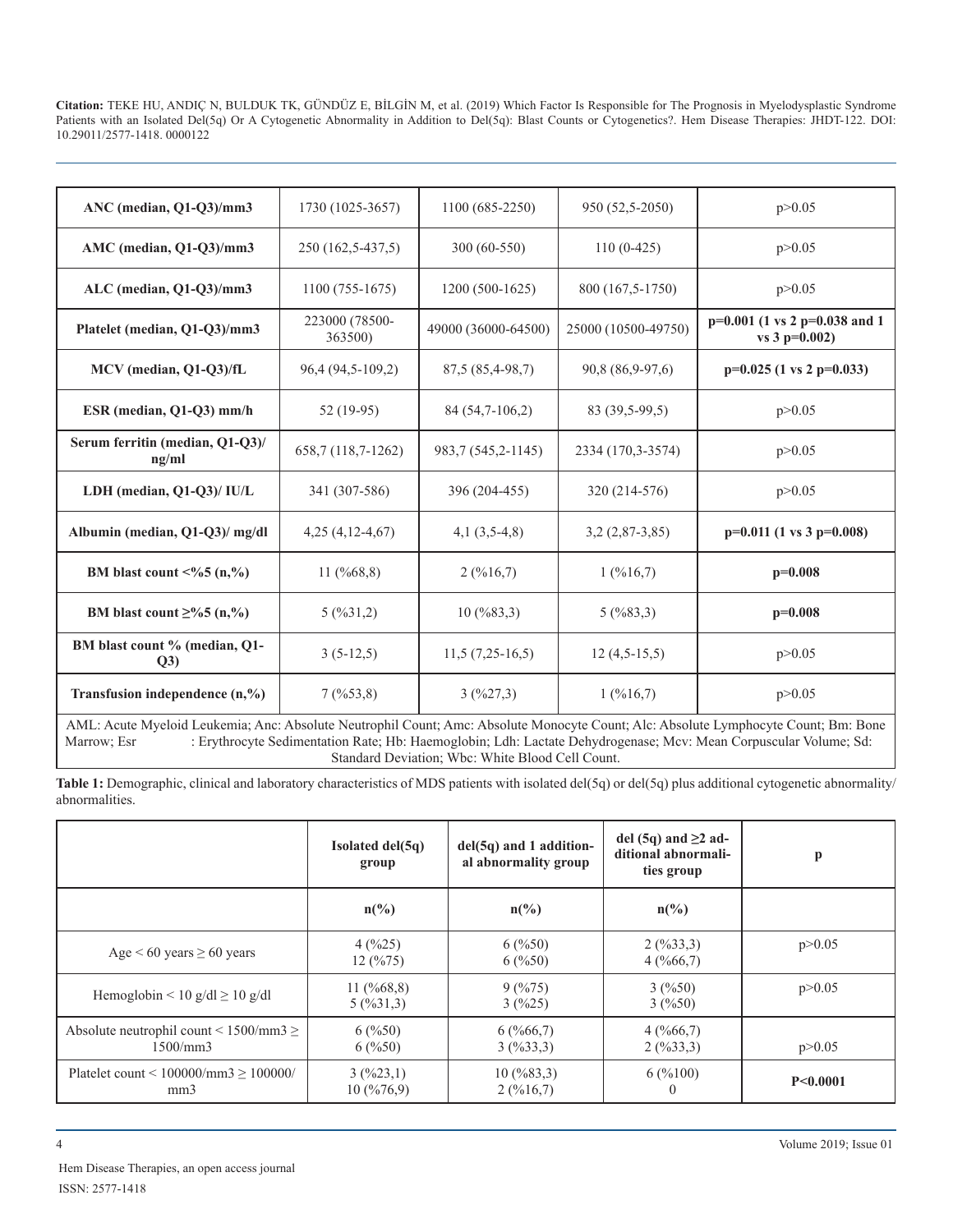| ANC (median, Q1-Q3)/mm3                              | 1730 (1025-3657)          | 1100 (685-2250)     | 950 (52,5-2050)     | p > 0.05                                          |
|------------------------------------------------------|---------------------------|---------------------|---------------------|---------------------------------------------------|
| AMC (median, Q1-Q3)/mm3                              | 250 (162,5-437,5)         | 300 (60-550)        | $110(0-425)$        | p > 0.05                                          |
| $ALC$ (median, Q1-Q3)/mm3                            | $1100(755-1675)$          | $1200(500-1625)$    | 800 (167,5-1750)    | p > 0.05                                          |
| Platelet (median, Q1-Q3)/mm3                         | 223000 (78500-<br>363500) | 49000 (36000-64500) | 25000 (10500-49750) | $p=0.001$ (1 vs 2 p=0.038 and 1<br>vs $3 p=0.002$ |
| MCV (median, Q1-Q3)/fL                               | 96,4 (94,5-109,2)         | 87,5 (85,4-98,7)    | 90,8 (86,9-97,6)    | $p=0.025$ (1 vs 2 $p=0.033$ )                     |
| ESR (median, Q1-Q3) mm/h                             | 52 (19-95)                | 84 (54,7-106,2)     | 83 (39,5-99,5)      | p > 0.05                                          |
| Serum ferritin (median, Q1-Q3)/<br>ng/ml             | 658,7 (118,7-1262)        | 983,7 (545,2-1145)  | 2334 (170,3-3574)   | p > 0.05                                          |
| LDH (median, Q1-Q3)/ IU/L                            | 341 (307-586)             | 396 (204-455)       | 320 (214-576)       | p > 0.05                                          |
| Albumin (median, Q1-Q3)/ mg/dl                       | $4,25(4,12-4,67)$         | $4,1(3,5-4,8)$      | $3,2(2,87-3,85)$    | $p=0.011$ (1 vs 3 $p=0.008$ )                     |
| BM blast count $\leq\frac{9}{6}$ (n, $\frac{9}{6}$ ) | 11 $(\frac{9}{668,8})$    | 2(%16,7)            | 1(%16,7)            | $p=0.008$                                         |
| BM blast count $\geq$ %5 (n,%)                       | 5(9631,2)                 | $10 \, (9683, 3)$   | 5(9683,3)           | $p=0.008$                                         |
| BM blast count % (median, Q1-<br>Q3)                 | $3(5-12,5)$               | $11,5(7,25-16,5)$   | $12(4,5-15,5)$      | p > 0.05                                          |
| Transfusion independence $(n, %)$                    | 7(%53,8)                  | 3(%27,3)            | 1(%16,7)            | p > 0.05                                          |

AML: Acute Myeloid Leukemia; Anc: Absolute Neutrophil Count; Amc: Absolute Monocyte Count; Alc: Absolute Lymphocyte Count; Bm: Bone Marrow; Esr : Erythrocyte Sedimentation Rate; Hb: Haemoglobin; Ldh: Lactate Dehydrogenase; Mcv: Mean Corpuscular Volume; Sd: Standard Deviation; Wbc: White Blood Cell Count.

**Table 1:** Demographic, clinical and laboratory characteristics of MDS patients with isolated del(5q) or del(5q) plus additional cytogenetic abnormality/ abnormalities.

|                                                                              | Isolated del(5q)<br>group           | $del(5q)$ and 1 addition-<br>al abnormality group | del (5q) and $\geq$ ad-<br>ditional abnormali-<br>ties group | $\mathbf{p}$ |
|------------------------------------------------------------------------------|-------------------------------------|---------------------------------------------------|--------------------------------------------------------------|--------------|
|                                                                              | $n\left(\frac{0}{0}\right)$         | $n\binom{0}{0}$                                   | $n\binom{0}{0}$                                              |              |
| Age $< 60$ years $\geq 60$ years                                             | 4(%25)<br>12(%75)                   | 6(%50)<br>6(%50)                                  | 2(9633,3)<br>4(%66,7)                                        | p > 0.05     |
| Hemoglobin < 10 g/dl $\geq$ 10 g/dl                                          | 11 $(\frac{9}{668,8})$<br>5(9631,3) | 9(%75)<br>3(%25)                                  | 3(%50)<br>3(%50)                                             | p > 0.05     |
| Absolute neutrophil count $\leq$ 1500/mm3 $\geq$<br>1500/mm3                 | 6(%50)<br>6(%50)                    | 6(%66,7)<br>3(%33,3)                              | 4(%66,7)<br>2(9633,3)                                        | p > 0.05     |
| Platelet count < $100000/\text{mm}3 \ge 100000/\text{mm}$<br>mm <sub>3</sub> | 3(%23,1)<br>10(%76,9)               | $10 \, (9683, 3)$<br>2(%16,7)                     | 6(%100)                                                      | P<0.0001     |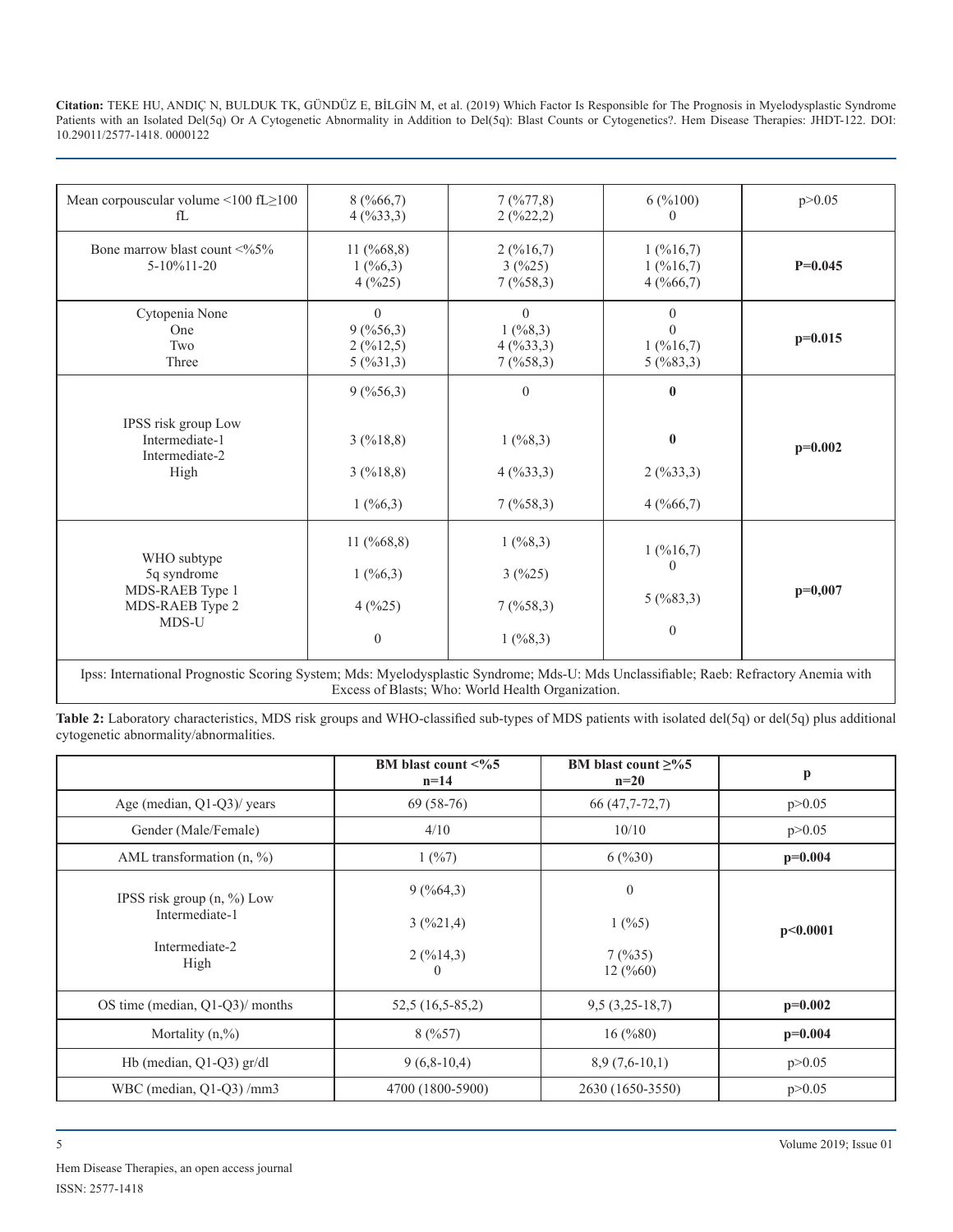| Mean corpouscular volume $\leq 100$ fL $\geq 100$    | 8(%66,7)               | 7(%77,8)             | 6(%100)              | p > 0.05  |
|------------------------------------------------------|------------------------|----------------------|----------------------|-----------|
| fL                                                   | 4(%33,3)               | $2($ %22,2)          | $\Omega$             |           |
| Bone marrow blast count $\langle\frac{9}{65}\rangle$ | 11 $(\frac{9}{668,8})$ | 2(%16,7)             | 1(%16,7)             |           |
| 5-10%11-20                                           | 1(%6,3)                | 3(%25)               | 1(%16,7)             | $P=0.045$ |
|                                                      | 4(%25)                 | 7(%58,3)             | 4(%66,7)             |           |
| Cytopenia None                                       | $\theta$               | $\theta$             | $\Omega$             |           |
| One                                                  | 9(%56,3)               | 1(%8,3)              | $\Omega$             | $p=0.015$ |
| Two<br>Three                                         | 2(%12,5)<br>5(%31,3)   | 4(%33,3)<br>7(%58,3) | 1(%16,7)<br>5(%83,3) |           |
|                                                      |                        |                      |                      |           |
|                                                      | 9(%56,3)               | $\Omega$             | $\mathbf{0}$         |           |
| IPSS risk group Low                                  |                        |                      |                      |           |
| Intermediate-1                                       | 3(%18,8)               | 1(%8,3)              | $\bf{0}$             |           |
| Intermediate-2                                       |                        |                      |                      | $p=0.002$ |
| High                                                 | 3(%18,8)               | 4(%33,3)             | 2(%33,3)             |           |
|                                                      | 1(%6,3)                | 7(%58,3)             | 4(%66,7)             |           |
|                                                      |                        |                      |                      |           |
|                                                      | 11 $(\frac{668,8}{6})$ | 1(%8,3)              |                      |           |
| WHO subtype                                          |                        |                      | 1(%16,7)<br>$\theta$ |           |
| 5q syndrome                                          | 1(%6,3)                | 3(%25)               |                      |           |
| MDS-RAEB Type 1<br>MDS-RAEB Type 2                   | 4(%25)                 | 7(%58,3)             | 5(%83,3)             | $p=0,007$ |
| MDS-U                                                |                        |                      |                      |           |
|                                                      | $\theta$               | 1(%8,3)              | $\mathbf{0}$         |           |
|                                                      |                        |                      |                      |           |

Ipss: International Prognostic Scoring System; Mds: Myelodysplastic Syndrome; Mds-U: Mds Unclassifiable; Raeb: Refractory Anemia with Excess of Blasts; Who: World Health Organization.

**Table 2:** Laboratory characteristics, MDS risk groups and WHO-classified sub-types of MDS patients with isolated del(5q) or del(5q) plus additional cytogenetic abnormality/abnormalities.

|                                                | BM blast count $<\frac{9}{6}$<br>$n=14$ | BM blast count $\geq$ %5<br>$n=20$ | p         |
|------------------------------------------------|-----------------------------------------|------------------------------------|-----------|
| Age (median, Q1-Q3)/ years                     | $69(58-76)$                             | 66 (47,7-72,7)                     | p > 0.05  |
| Gender (Male/Female)                           | 4/10                                    | 10/10                              | p > 0.05  |
| AML transformation $(n, %)$                    | 1(%7)                                   | 6(%30)                             | $p=0.004$ |
| IPSS risk group $(n, %)$ Low<br>Intermediate-1 | 9(%64,3)                                | $\boldsymbol{0}$                   |           |
|                                                | 3(%21,4)                                | 1(%5)                              | p<0.0001  |
| Intermediate-2<br>High                         | $2($ %14,3)<br>$\theta$                 | 7(9/635)<br>12(%60)                |           |
| OS time (median, Q1-Q3)/ months                | $52,5(16,5-85,2)$                       | $9,5(3,25-18,7)$                   | $p=0.002$ |
| Mortality $(n, %$                              | 8(%57)                                  | $16 \, (%80)$                      | $p=0.004$ |
| Hb (median, $Q1-Q3$ ) gr/dl                    | $9(6,8-10,4)$                           | $8,9(7,6-10,1)$                    | p > 0.05  |
| WBC (median, Q1-Q3) /mm3                       | 4700 (1800-5900)                        | 2630 (1650-3550)                   | p > 0.05  |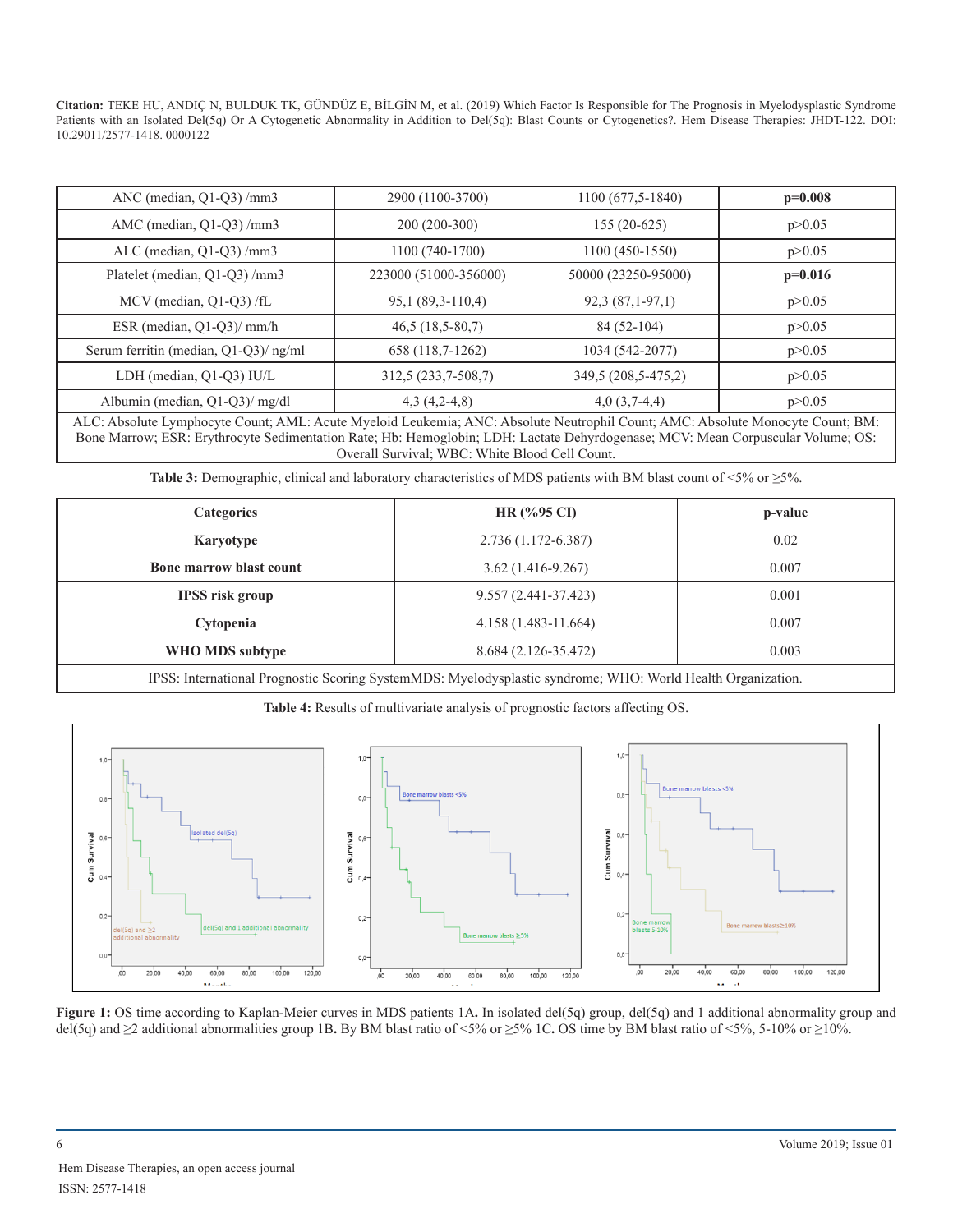| ANC (median, $Q1-Q3$ ) /mm3                                                                                                    | 2900 (1100-3700)      | 1100 (677,5-1840)   | $p=0.008$ |
|--------------------------------------------------------------------------------------------------------------------------------|-----------------------|---------------------|-----------|
| AMC (median, Q1-Q3)/mm3                                                                                                        | 200 (200-300)         | $155(20-625)$       | p > 0.05  |
| ALC (median, $Q1-Q3$ ) /mm3                                                                                                    | 1100 (740-1700)       | 1100 (450-1550)     | p > 0.05  |
| Platelet (median, Q1-Q3)/mm3                                                                                                   | 223000 (51000-356000) | 50000 (23250-95000) | $p=0.016$ |
| MCV (median, Q1-Q3) /fL                                                                                                        | 95,1 (89,3-110,4)     | $92,3(87,1-97,1)$   | p > 0.05  |
| ESR (median, Q1-Q3)/ mm/h                                                                                                      | $46,5(18,5-80,7)$     | 84 (52-104)         | p > 0.05  |
| Serum ferritin (median, Q1-Q3)/ ng/ml                                                                                          | 658 (118,7-1262)      | 1034 (542-2077)     | p > 0.05  |
| LDH (median, Q1-Q3) IU/L                                                                                                       | 312,5 (233,7-508,7)   | 349,5 (208,5-475,2) | p > 0.05  |
| Albumin (median, Q1-Q3)/ mg/dl                                                                                                 | $4,3(4,2-4,8)$        | $4,0(3,7-4,4)$      | p > 0.05  |
| ALC: Absolute Lymphocyte Count; AML: Acute Myeloid Leukemia; ANC: Absolute Neutrophil Count; AMC: Absolute Monocyte Count; BM: |                       |                     |           |

Bone Marrow; ESR: Erythrocyte Sedimentation Rate; Hb: Hemoglobin; LDH: Lactate Dehyrdogenase; MCV: Mean Corpuscular Volume; OS: Overall Survival; WBC: White Blood Cell Count.

**Table 3:** Demographic, clinical and laboratory characteristics of MDS patients with BM blast count of <5% or ≥5%.

| <b>Categories</b>              | $HR$ (%95 CI)        | p-value |  |
|--------------------------------|----------------------|---------|--|
| Karyotype                      | 2.736 (1.172-6.387)  | 0.02    |  |
| <b>Bone marrow blast count</b> | $3.62(1.416-9.267)$  | 0.007   |  |
| <b>IPSS</b> risk group         | 9.557 (2.441-37.423) | 0.001   |  |
| Cytopenia                      | 4.158 (1.483-11.664) | 0.007   |  |
| WHO MDS subtype                | 8.684 (2.126-35.472) | 0.003   |  |
| $\frac{1}{2}$                  |                      |         |  |

IPSS: International Prognostic Scoring SystemMDS: Myelodysplastic syndrome; WHO: World Health Organization.



**Table 4:** Results of multivariate analysis of prognostic factors affecting OS.

**Figure 1:** OS time according to Kaplan-Meier curves in MDS patients 1A. In isolated del(5q) group, del(5q) and 1 additional abnormality group and del(5q) and ≥2 additional abnormalities group 1B**.** By BM blast ratio of <5% or ≥5% 1C**.** OS time by BM blast ratio of <5%, 5-10% or ≥10%.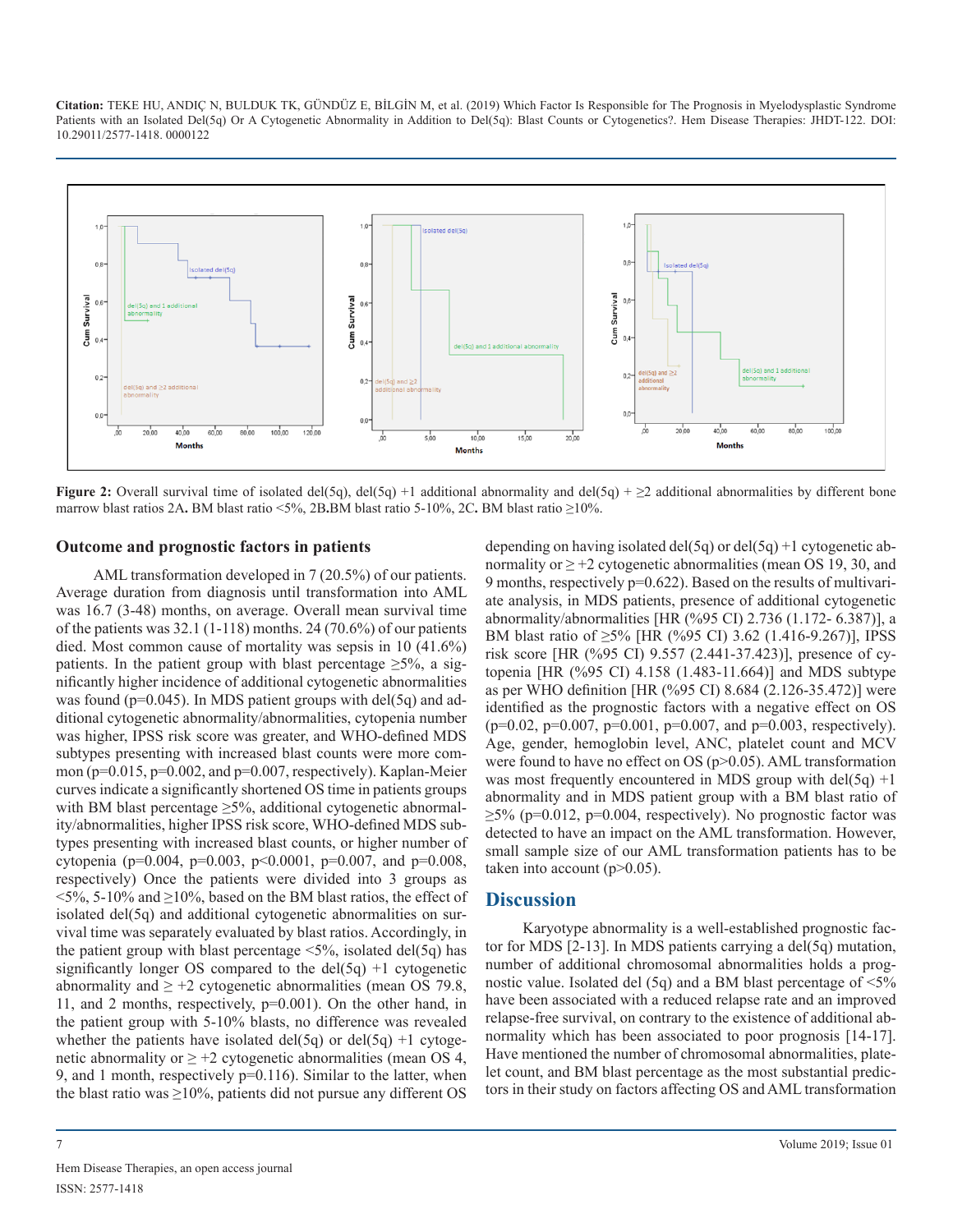

**Figure 2:** Overall survival time of isolated del(5q), del(5q) +1 additional abnormality and del(5q) +  $\geq$ 2 additional abnormalities by different bone marrow blast ratios 2A**.** BM blast ratio <5%, 2B**.**BM blast ratio 5-10%, 2C**.** BM blast ratio ≥10%.

#### **Outcome and prognostic factors in patients**

AML transformation developed in 7 (20.5%) of our patients. Average duration from diagnosis until transformation into AML was 16.7 (3-48) months, on average. Overall mean survival time of the patients was  $32.1$  (1-118) months. 24 (70.6%) of our patients died. Most common cause of mortality was sepsis in 10 (41.6%) patients. In the patient group with blast percentage  $\geq 5\%$ , a significantly higher incidence of additional cytogenetic abnormalities was found ( $p=0.045$ ). In MDS patient groups with del(5q) and additional cytogenetic abnormality/abnormalities, cytopenia number was higher, IPSS risk score was greater, and WHO-defined MDS subtypes presenting with increased blast counts were more common (p=0.015, p=0.002, and p=0.007, respectively). Kaplan-Meier curves indicate a significantly shortened OS time in patients groups with BM blast percentage  $\geq$ 5%, additional cytogenetic abnormality/abnormalities, higher IPSS risk score, WHO-defined MDS subtypes presenting with increased blast counts, or higher number of cytopenia (p=0.004, p=0.003, p<0.0001, p=0.007, and p=0.008, respectively) Once the patients were divided into 3 groups as  $5\%$ , 5-10% and  $\geq$ 10%, based on the BM blast ratios, the effect of isolated del(5q) and additional cytogenetic abnormalities on survival time was separately evaluated by blast ratios. Accordingly, in the patient group with blast percentage  $\leq 5\%$ , isolated del(5q) has significantly longer OS compared to the  $del(5q) +1$  cytogenetic abnormality and  $\geq$  +2 cytogenetic abnormalities (mean OS 79.8, 11, and 2 months, respectively, p=0.001). On the other hand, in the patient group with 5-10% blasts, no difference was revealed whether the patients have isolated del(5q) or del(5q) +1 cytogenetic abnormality or  $\geq$  +2 cytogenetic abnormalities (mean OS 4, 9, and 1 month, respectively p=0.116). Similar to the latter, when the blast ratio was ≥10%, patients did not pursue any different OS

depending on having isolated del(5q) or del(5q) +1 cytogenetic abnormality or  $\geq$  +2 cytogenetic abnormalities (mean OS 19, 30, and 9 months, respectively p=0.622). Based on the results of multivariate analysis, in MDS patients, presence of additional cytogenetic abnormality/abnormalities [HR (%95 CI) 2.736 (1.172- 6.387)], a BM blast ratio of ≥5% [HR (%95 CI) 3.62 (1.416-9.267)], IPSS risk score [HR (%95 CI) 9.557 (2.441-37.423)], presence of cytopenia [HR (%95 CI) 4.158 (1.483-11.664)] and MDS subtype as per WHO definition [HR (%95 CI) 8.684 (2.126-35.472)] were identified as the prognostic factors with a negative effect on OS  $(p=0.02, p=0.007, p=0.001, p=0.007, and p=0.003, respectively).$ Age, gender, hemoglobin level, ANC, platelet count and MCV were found to have no effect on OS ( $p > 0.05$ ). AML transformation was most frequently encountered in MDS group with  $del(5q) +1$ abnormality and in MDS patient group with a BM blast ratio of  $\geq$ 5% (p=0.012, p=0.004, respectively). No prognostic factor was detected to have an impact on the AML transformation. However, small sample size of our AML transformation patients has to be taken into account  $(p>0.05)$ .

#### **Discussion**

Karyotype abnormality is a well-established prognostic factor for MDS [2-13]. In MDS patients carrying a del(5q) mutation, number of additional chromosomal abnormalities holds a prognostic value. Isolated del  $(5q)$  and a BM blast percentage of  $\leq 5\%$ have been associated with a reduced relapse rate and an improved relapse-free survival, on contrary to the existence of additional abnormality which has been associated to poor prognosis [14-17]. Have mentioned the number of chromosomal abnormalities, platelet count, and BM blast percentage as the most substantial predictors in their study on factors affecting OS and AML transformation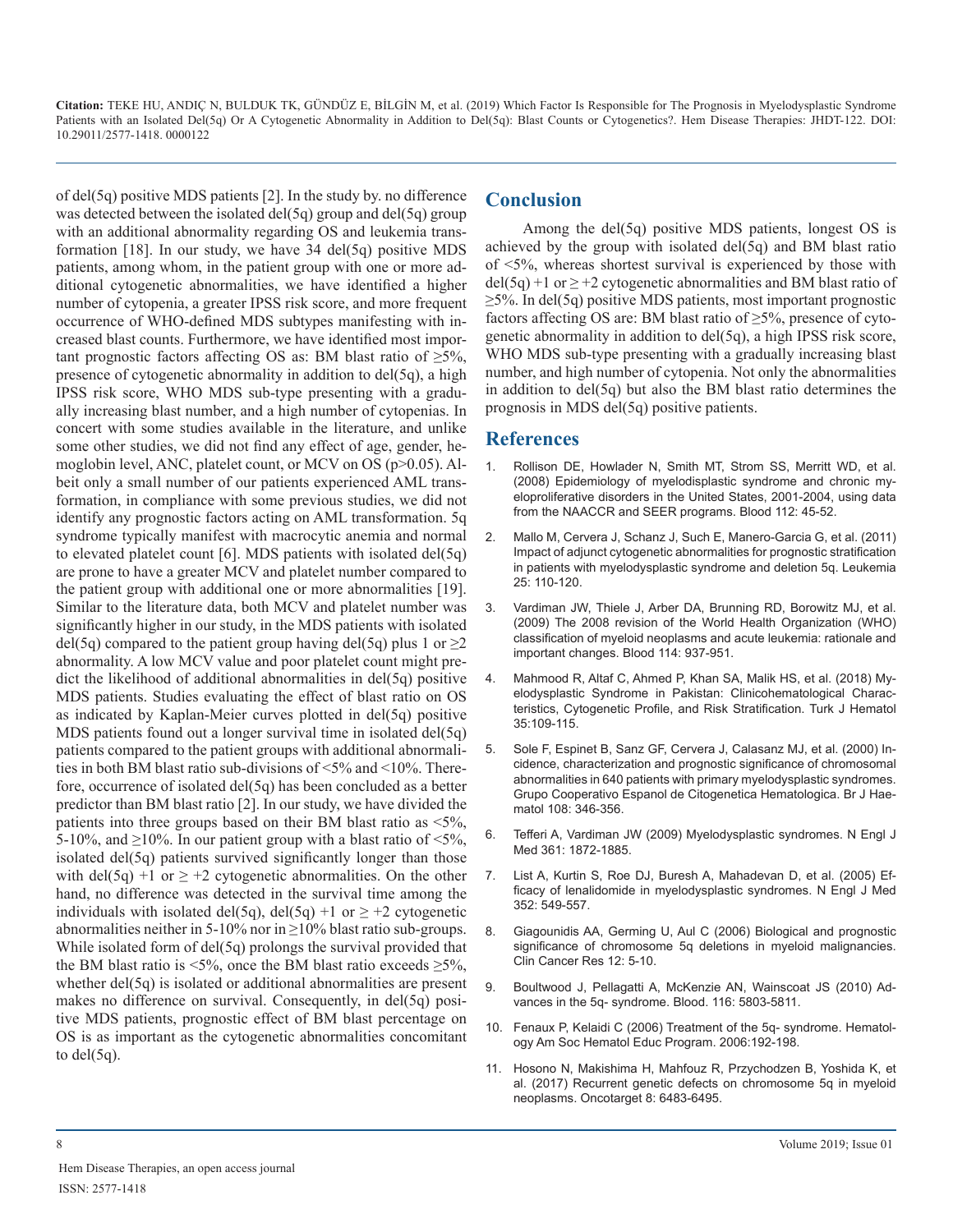of del(5q) positive MDS patients [2]. In the study by. no difference was detected between the isolated del(5q) group and del(5q) group with an additional abnormality regarding OS and leukemia transformation  $[18]$ . In our study, we have 34 del(5q) positive MDS patients, among whom, in the patient group with one or more additional cytogenetic abnormalities, we have identified a higher number of cytopenia, a greater IPSS risk score, and more frequent occurrence of WHO-defined MDS subtypes manifesting with increased blast counts. Furthermore, we have identified most important prognostic factors affecting OS as: BM blast ratio of  $\geq 5\%$ , presence of cytogenetic abnormality in addition to del(5q), a high IPSS risk score, WHO MDS sub-type presenting with a gradually increasing blast number, and a high number of cytopenias. In concert with some studies available in the literature, and unlike some other studies, we did not find any effect of age, gender, hemoglobin level, ANC, platelet count, or MCV on OS ( $p > 0.05$ ). Albeit only a small number of our patients experienced AML transformation, in compliance with some previous studies, we did not identify any prognostic factors acting on AML transformation. 5q syndrome typically manifest with macrocytic anemia and normal to elevated platelet count [6]. MDS patients with isolated del(5q) are prone to have a greater MCV and platelet number compared to the patient group with additional one or more abnormalities [19]. Similar to the literature data, both MCV and platelet number was significantly higher in our study, in the MDS patients with isolated del(5q) compared to the patient group having del(5q) plus 1 or  $\geq$ 2 abnormality. A low MCV value and poor platelet count might predict the likelihood of additional abnormalities in del(5q) positive MDS patients. Studies evaluating the effect of blast ratio on OS as indicated by Kaplan-Meier curves plotted in del(5q) positive MDS patients found out a longer survival time in isolated del(5q) patients compared to the patient groups with additional abnormalities in both BM blast ratio sub-divisions of <5% and <10%. Therefore, occurrence of isolated del(5q) has been concluded as a better predictor than BM blast ratio [2]. In our study, we have divided the patients into three groups based on their BM blast ratio as <5%, 5-10%, and  $\geq$ 10%. In our patient group with a blast ratio of <5%, isolated del(5q) patients survived significantly longer than those with del(5q) +1 or  $\geq$  +2 cytogenetic abnormalities. On the other hand, no difference was detected in the survival time among the individuals with isolated del(5q), del(5q) +1 or  $\geq$  +2 cytogenetic abnormalities neither in 5-10% nor in  $\geq$ 10% blast ratio sub-groups. While isolated form of del(5q) prolongs the survival provided that the BM blast ratio is <5%, once the BM blast ratio exceeds  $\geq$ 5%, whether del(5q) is isolated or additional abnormalities are present makes no difference on survival. Consequently, in del(5q) positive MDS patients, prognostic effect of BM blast percentage on OS is as important as the cytogenetic abnormalities concomitant to  $del(5q)$ .

#### **Conclusion**

Among the del(5q) positive MDS patients, longest OS is achieved by the group with isolated del(5q) and BM blast ratio of <5%, whereas shortest survival is experienced by those with  $del(5q) +1$  or  $\geq +2$  cytogenetic abnormalities and BM blast ratio of  $\geq$ 5%. In del(5q) positive MDS patients, most important prognostic factors affecting OS are: BM blast ratio of  $\geq$ 5%, presence of cytogenetic abnormality in addition to del(5q), a high IPSS risk score, WHO MDS sub-type presenting with a gradually increasing blast number, and high number of cytopenia. Not only the abnormalities in addition to del(5q) but also the BM blast ratio determines the prognosis in MDS del(5q) positive patients.

### **References**

- 1. [Rollison DE, Howlader N, Smith MT, Strom SS, Merritt WD, et al.](https://www.ncbi.nlm.nih.gov/pubmed/18443215)  (2008) Epidemiology of myelodisplastic syndrome and chronic my[eloproliferative disorders in the United States, 2001-2004, using data](https://www.ncbi.nlm.nih.gov/pubmed/18443215)  [from the NAACCR and SEER programs. Blood 112: 45-52.](https://www.ncbi.nlm.nih.gov/pubmed/18443215)
- 2. [Mallo M, Cervera J, Schanz J, Such E, Manero-Garcia G, et al. \(2011\)](https://www.ncbi.nlm.nih.gov/pubmed/20882045)  Impact of adjunct cytogenetic abnormalities for prognostic stratificatio[n](https://www.ncbi.nlm.nih.gov/pubmed/20882045)  [in patients with myelodysplastic syndrome and deletion 5q. Leukemia](https://www.ncbi.nlm.nih.gov/pubmed/20882045)  [25: 110-120.](https://www.ncbi.nlm.nih.gov/pubmed/20882045)
- 3. [Vardiman JW, Thiele J, Arber DA, Brunning RD, Borowitz MJ, et al.](http://www.bloodjournal.org/content/114/5/937?sso-checked=true) (2009) The 2008 revision of the World Health Organization (WHO[\)](http://www.bloodjournal.org/content/114/5/937?sso-checked=true)  [classification of myeloid neoplasms and acute leukemia: rationale and](http://www.bloodjournal.org/content/114/5/937?sso-checked=true)  [important changes. Blood 114: 937-951.](http://www.bloodjournal.org/content/114/5/937?sso-checked=true)
- 4. [Mahmood R, Altaf C, Ahmed P, Khan SA, Malik HS, et al. \(2018\) My](https://www.ncbi.nlm.nih.gov/pubmed/28588002)elodysplastic Syndrome in Pakistan: Clinicohematological Charac[teristics, Cytogenetic Profile, and Risk Stratification. Turk J Hematol](https://www.ncbi.nlm.nih.gov/pubmed/28588002)  [35:109-115.](https://www.ncbi.nlm.nih.gov/pubmed/28588002)
- 5. [Sole F, Espinet B, Sanz GF, Cervera J, Calasanz MJ, et al. \(2000\) In](https://www.ncbi.nlm.nih.gov/pubmed/10691865)cidence, characterization and prognostic significance of chromosomal [abnormalities in 640 patients with primary myelodysplastic syndromes.](https://www.ncbi.nlm.nih.gov/pubmed/10691865)  [Grupo Cooperativo Espanol de Citogenetica Hematologica. Br J Hae](https://www.ncbi.nlm.nih.gov/pubmed/10691865)[matol 108: 346-356.](https://www.ncbi.nlm.nih.gov/pubmed/10691865)
- 6. Tefferi A, Vardiman JW (2009) Myelodysplastic syndromes. N Engl J Med 361: 1872-1885.
- 7. [List A, Kurtin S, Roe DJ, Buresh A, Mahadevan D, et al. \(2005\) Ef](https://www.nejm.org/doi/full/10.1056/NEJMoa041668)ficacy of lenalidomide in myelodysplastic syndromes. N Engl J Med [352: 549-557.](https://www.nejm.org/doi/full/10.1056/NEJMoa041668)
- 8. [Giagounidis AA, Germing U, Aul C \(2006\) Biological and prognostic](https://www.ncbi.nlm.nih.gov/pubmed/16397017)  significance of chromosome 5q deletions in myeloid malignancies. [Clin Cancer Res 12: 5-10.](https://www.ncbi.nlm.nih.gov/pubmed/16397017)
- 9. [Boultwood J, Pellagatti A, McKenzie AN, Wainscoat JS \(2010\) Ad](http://www.bloodjournal.org/content/116/26/5803?sso-checked=true)vances in the 5q- syndrome. Blood. 116: 5803-5811.
- 10. [Fenaux P, Kelaidi C \(2006\) Treatment of the 5q- syndrome. Hematol](https://www.ncbi.nlm.nih.gov/pubmed/17124060)ogy Am Soc Hematol Educ Program. 2006:192-198.
- 11. [Hosono N, Makishima H, Mahfouz R, Przychodzen B, Yoshida K, et](https://www.ncbi.nlm.nih.gov/pmc/articles/PMC5351647/) al. (2017) Recurrent genetic defects on chromosome 5q in myeloid [neoplasms. Oncotarget 8: 6483-6495.](https://www.ncbi.nlm.nih.gov/pmc/articles/PMC5351647/)